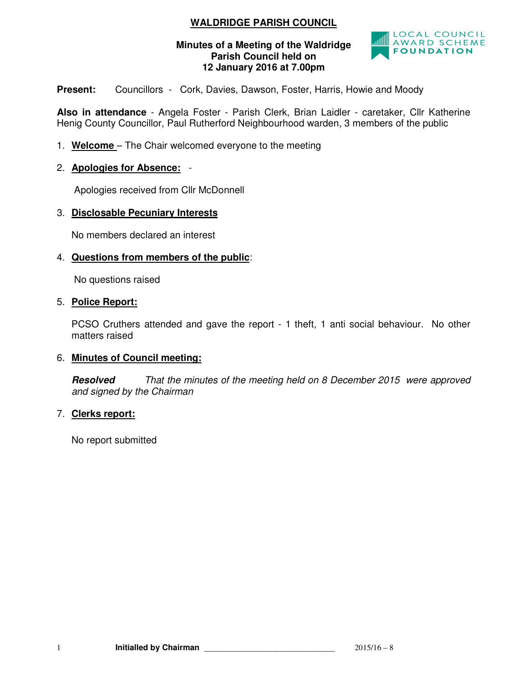## **WALDRIDGE PARISH COUNCIL**

#### **Minutes of a Meeting of the Waldridge Parish Council held on 12 January 2016 at 7.00pm**



**Present:** Councillors - Cork, Davies, Dawson, Foster, Harris, Howie and Moody

**Also in attendance** - Angela Foster - Parish Clerk, Brian Laidler - caretaker, Cllr Katherine Henig County Councillor, Paul Rutherford Neighbourhood warden, 3 members of the public

- 1. **Welcome**  The Chair welcomed everyone to the meeting
- 2. **Apologies for Absence:** -

Apologies received from Cllr McDonnell

### 3. **Disclosable Pecuniary Interests**

No members declared an interest

### 4. **Questions from members of the public**:

No questions raised

#### 5. **Police Report:**

PCSO Cruthers attended and gave the report - 1 theft, 1 anti social behaviour. No other matters raised

### 6. **Minutes of Council meeting:**

**Resolved** That the minutes of the meeting held on 8 December 2015 were approved and signed by the Chairman

### 7. **Clerks report:**

No report submitted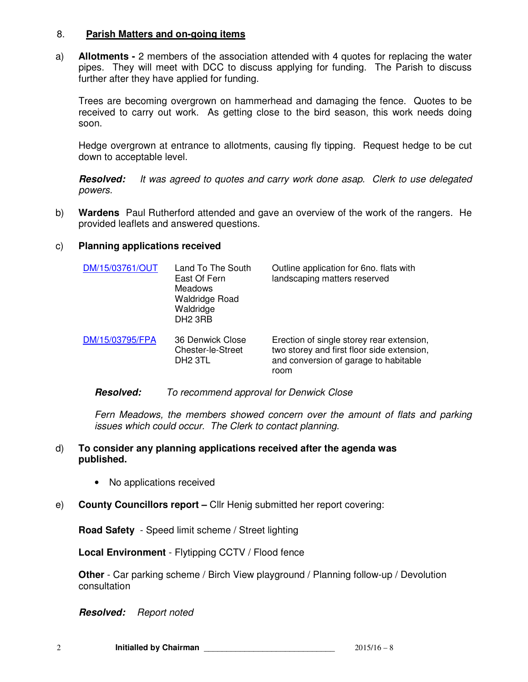#### 8. **Parish Matters and on-going items**

a) **Allotments -** 2 members of the association attended with 4 quotes for replacing the water pipes. They will meet with DCC to discuss applying for funding. The Parish to discuss further after they have applied for funding.

Trees are becoming overgrown on hammerhead and damaging the fence. Quotes to be received to carry out work. As getting close to the bird season, this work needs doing soon.

Hedge overgrown at entrance to allotments, causing fly tipping. Request hedge to be cut down to acceptable level.

**Resolved:** It was agreed to quotes and carry work done asap. Clerk to use delegated powers.

b) **Wardens** Paul Rutherford attended and gave an overview of the work of the rangers. He provided leaflets and answered questions.

### c) **Planning applications received**

| DM/15/03761/OUT | Land To The South<br>East Of Fern<br><b>Meadows</b><br><b>Waldridge Road</b><br>Waldridge<br>DH <sub>2</sub> 3RB | Outline application for 6no. flats with<br>landscaping matters reserved                                                                  |
|-----------------|------------------------------------------------------------------------------------------------------------------|------------------------------------------------------------------------------------------------------------------------------------------|
| DM/15/03795/FPA | 36 Denwick Close<br>Chester-le-Street<br>DH <sub>2</sub> 3TL                                                     | Erection of single storey rear extension,<br>two storey and first floor side extension,<br>and conversion of garage to habitable<br>room |

### **Resolved:** To recommend approval for Denwick Close

Fern Meadows, the members showed concern over the amount of flats and parking issues which could occur. The Clerk to contact planning.

### d) **To consider any planning applications received after the agenda was published.**

- No applications received
- e) **County Councillors report** Cllr Henig submitted her report covering:

**Road Safety** - Speed limit scheme / Street lighting

**Local Environment** - Flytipping CCTV / Flood fence

**Other** - Car parking scheme / Birch View playground / Planning follow-up / Devolution consultation

**Resolved:** Report noted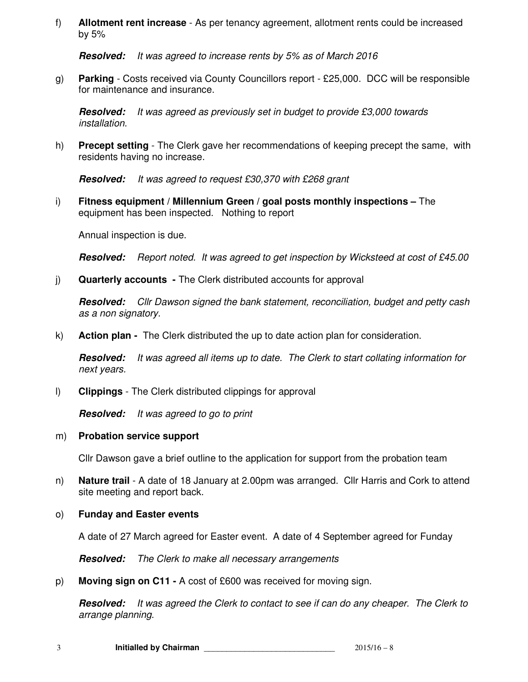f) **Allotment rent increase** - As per tenancy agreement, allotment rents could be increased by 5%

**Resolved:** It was agreed to increase rents by 5% as of March 2016

g) **Parking** - Costs received via County Councillors report - £25,000. DCC will be responsible for maintenance and insurance.

**Resolved:** It was agreed as previously set in budget to provide £3,000 towards installation.

h) **Precept setting** - The Clerk gave her recommendations of keeping precept the same, with residents having no increase.

**Resolved:** It was agreed to request £30,370 with £268 grant

i) **Fitness equipment / Millennium Green / goal posts monthly inspections –** The equipment has been inspected. Nothing to report

Annual inspection is due.

**Resolved:** Report noted. It was agreed to get inspection by Wicksteed at cost of £45.00

j) **Quarterly accounts -** The Clerk distributed accounts for approval

**Resolved:** Cllr Dawson signed the bank statement, reconciliation, budget and petty cash as a non signatory.

k) **Action plan -** The Clerk distributed the up to date action plan for consideration.

**Resolved:** It was agreed all items up to date. The Clerk to start collating information for next years.

l) **Clippings** - The Clerk distributed clippings for approval

**Resolved:** It was agreed to go to print

#### m) **Probation service support**

Cllr Dawson gave a brief outline to the application for support from the probation team

- n) **Nature trail**  A date of 18 January at 2.00pm was arranged. Cllr Harris and Cork to attend site meeting and report back.
- o) **Funday and Easter events**

A date of 27 March agreed for Easter event. A date of 4 September agreed for Funday

**Resolved:** The Clerk to make all necessary arrangements

p) **Moving sign on C11 -** A cost of £600 was received for moving sign.

**Resolved:** It was agreed the Clerk to contact to see if can do any cheaper. The Clerk to arrange planning.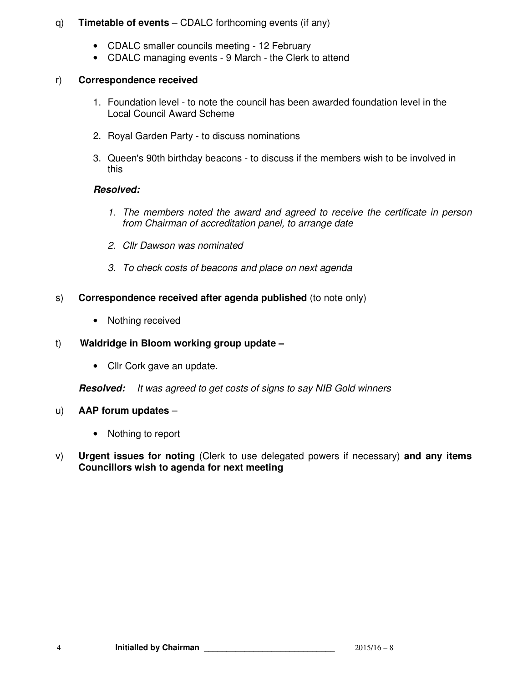### q) **Timetable of events** – CDALC forthcoming events (if any)

- CDALC smaller councils meeting 12 February
- CDALC managing events 9 March the Clerk to attend

## r) **Correspondence received**

- 1. Foundation level to note the council has been awarded foundation level in the Local Council Award Scheme
- 2. Royal Garden Party to discuss nominations
- 3. Queen's 90th birthday beacons to discuss if the members wish to be involved in this

## **Resolved:**

- 1. The members noted the award and agreed to receive the certificate in person from Chairman of accreditation panel, to arrange date
- 2. Cllr Dawson was nominated
- 3. To check costs of beacons and place on next agenda
- s) **Correspondence received after agenda published** (to note only)
	- Nothing received

## t) **Waldridge in Bloom working group update –**

• Cllr Cork gave an update.

**Resolved:** It was agreed to get costs of signs to say NIB Gold winners

## u) **AAP forum updates** –

- Nothing to report
- v) **Urgent issues for noting** (Clerk to use delegated powers if necessary) **and any items Councillors wish to agenda for next meeting**